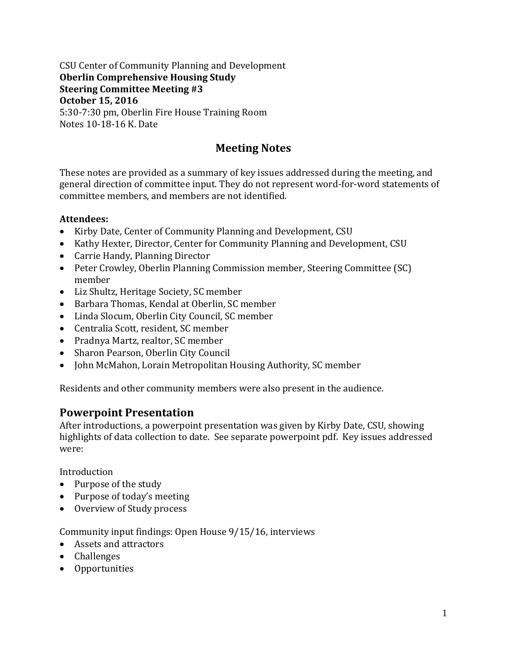#### CSU Center of Community Planning and Development **Oberlin Comprehensive Housing Study Steering Committee Meeting #3 October 15, 2016** 5:30-7:30 pm, Oberlin Fire House Training Room Notes 10-18-16 K. Date

## **Meeting Notes**

These notes are provided as a summary of key issues addressed during the meeting, and general direction of committee input. They do not represent word-for-word statements of committee members, and members are not identified.

#### **Attendees:**

- Kirby Date, Center of Community Planning and Development, CSU
- Kathy Hexter, Director, Center for Community Planning and Development, CSU
- Carrie Handy, Planning Director
- Peter Crowley, Oberlin Planning Commission member, Steering Committee (SC) member
- Liz Shultz, Heritage Society, SC member
- Barbara Thomas, Kendal at Oberlin, SC member
- Linda Slocum, Oberlin City Council, SC member
- Centralia Scott, resident, SC member
- Pradnya Martz, realtor, SC member
- Sharon Pearson, Oberlin City Council
- John McMahon, Lorain Metropolitan Housing Authority, SC member

Residents and other community members were also present in the audience.

### **Powerpoint Presentation**

After introductions, a powerpoint presentation was given by Kirby Date, CSU, showing highlights of data collection to date. See separate powerpoint pdf. Key issues addressed were:

Introduction

- Purpose of the study
- Purpose of today's meeting
- Overview of Study process

Community input findings: Open House 9/15/16, interviews

- Assets and attractors
- Challenges
- Opportunities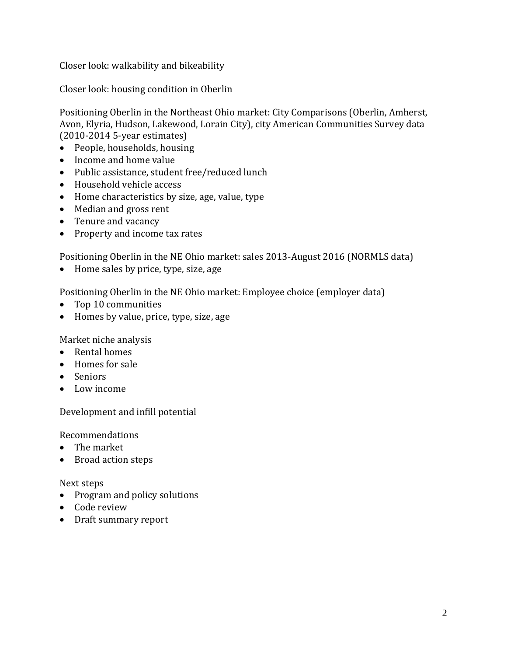Closer look: walkability and bikeability

Closer look: housing condition in Oberlin

Positioning Oberlin in the Northeast Ohio market: City Comparisons (Oberlin, Amherst, Avon, Elyria, Hudson, Lakewood, Lorain City), city American Communities Survey data (2010-2014 5-year estimates)

- People, households, housing
- Income and home value
- Public assistance, student free/reduced lunch
- Household vehicle access
- Home characteristics by size, age, value, type
- Median and gross rent
- Tenure and vacancy
- Property and income tax rates

Positioning Oberlin in the NE Ohio market: sales 2013-August 2016 (NORMLS data)

• Home sales by price, type, size, age

Positioning Oberlin in the NE Ohio market: Employee choice (employer data)

- Top 10 communities
- Homes by value, price, type, size, age

Market niche analysis

- Rental homes
- Homes for sale
- Seniors
- Low income

Development and infill potential

Recommendations

- The market
- Broad action steps

Next steps

- Program and policy solutions
- Code review
- Draft summary report